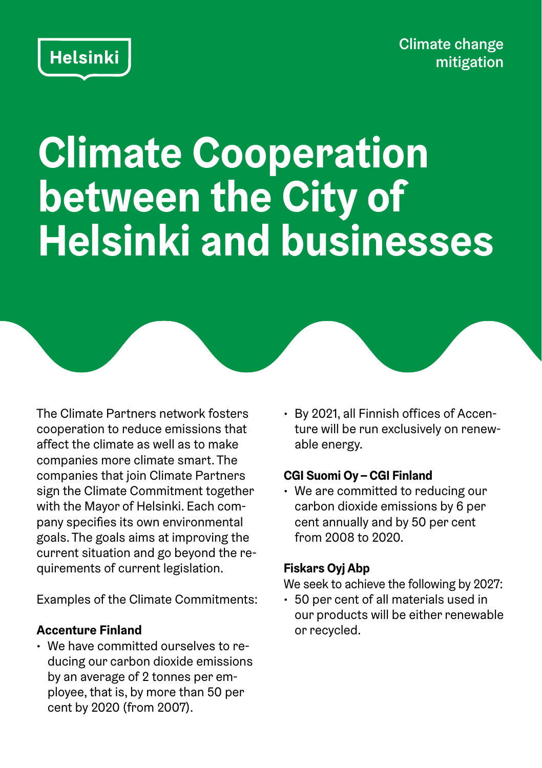Climate change mitigation

# **Climate Cooperation between the City of Helsinki and businesses**

The Climate Partners network fosters cooperation to reduce emissions that affect the climate as well as to make companies more climate smart. The companies that join Climate Partners sign the Climate Commitment together with the Mayor of Helsinki. Each company specifies its own environmental goals. The goals aims at improving the current situation and go beyond the requirements of current legislation.

Examples of the Climate Commitments:

## **Accenture Finland**

**Helsinki** 

• We have committed ourselves to reducing our carbon dioxide emissions by an average of 2 tonnes per employee, that is, by more than 50 per cent by 2020 (from 2007).

• By 2021, all Finnish offices of Accenture will be run exclusively on renewable energy.

## **CGI Suomi Oy – CGI Finland**

• We are committed to reducing our carbon dioxide emissions by 6 per cent annually and by 50 per cent from 2008 to 2020.

## **Fiskars Oyj Abp**

We seek to achieve the following by 2027:

• 50 per cent of all materials used in our products will be either renewable or recycled.